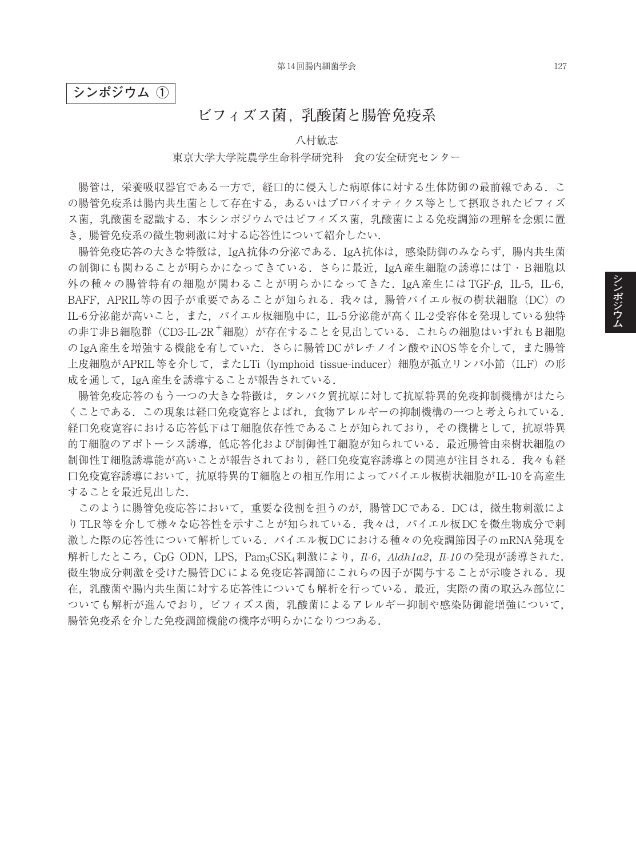## **シンポジウム ①**

# **ビフィズス菌,乳酸菌と腸管免疫系**

#### 八村敏志

#### 東京大学大学院農学生命科学研究科 食の安全研究センター

腸管は,栄養吸収器官である一方で,経口的に侵入した病原体に対する生体防御の最前線である.こ の腸管免疫系は腸内共生菌として存在する,あるいはプロバイオティクス等として摂取されたビフィズ ス菌、乳酸菌を認識する. 本シンポジウムではビフィズス菌. 乳酸菌による免疫調節の理解を念頭に置 き,腸管免疫系の微生物刺激に対する応答性について紹介したい.

腸管免疫応答の大きな特徴は,IgA抗体の分泌である.IgA抗体は,感染防御のみならず,腸内共生菌 の制御にも関わることが明らかになってきている.さらに最近,IgA産生細胞の誘導にはT・B細胞以 外の種々の腸管特有の細胞が関わることが明らかになってきた. IgA産生には TGF-β, IL-5, IL-6, BAFF, APRIL等の因子が重要であることが知られる. 我々は, 腸管パイエル板の樹状細胞(DC)の IL-6分泌能が高いこと,また,パイエル板細胞中に,IL-5分泌能が高くIL-2受容体を発現している独特 の非T非B細胞群(CD3-IL-2R<sup>+</sup>細胞)が存在することを見出している.これらの細胞はいずれもB細胞 のIgA産生を増強する機能を有していた. さらに腸管DCがレチノイン酸やiNOS等を介して、また腸管 上皮細胞がAPRIL等を介して、またLTi (lymphoid tissue-inducer) 細胞が孤立リンパ小節 (ILF) の形 成を通して,IgA産生を誘導することが報告されている.

腸管免疫応答のもう一つの大きな特徴は,タンパク質抗原に対して抗原特異的免疫抑制機構がはたら くことである.この現象は経口免疫寛容とよばれ,食物アレルギーの抑制機構の一つと考えられている. 経口免疫寛容における応答低下はT細胞依存性であることが知られており、その機構として、抗原特異 的T細胞のアポトーシス誘導,低応答化および制御性T細胞が知られている.最近腸管由来樹状細胞の 制御性T細胞誘導能が高いことが報告されており、経口免疫寛容誘導との関連が注目される、我々も経 口免疫寛容誘導において,抗原特異的T細胞との相互作用によってパイエル板樹状細胞がIL-10を高産生 することを最近見出した.

このように腸管免疫応答において,重要な役割を担うのが,腸管DCである.DCは,微生物刺激によ りTLR等を介して様々な応答性を示すことが知られている. 我々は、パイエル板DCを微生物成分で刺 激した際の応答性について解析している.パイエル板DCにおける種々の免疫調節因子のmRNA発現を 解析したところ,CpG ODN,LPS,Pam3CSK4刺激により,*Il-6*,*Aldh1a2*,*Il-10*の発現が誘導された. 微生物成分刺激を受けた腸管DCによる免疫応答調節にこれらの因子が関与することが示唆される.現 在,乳酸菌や腸内共生菌に対する応答性についても解析を行っている.最近,実際の菌の取込み部位に ついても解析が進んでおり,ビフィズス菌,乳酸菌によるアレルギー抑制や感染防御能増強について, 腸管免疫系を介した免疫調節機能の機序が明らかになりつつある.